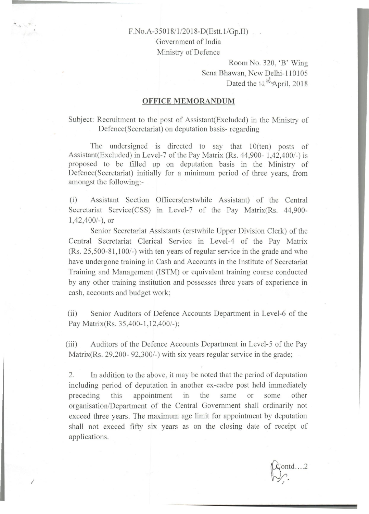## F.No.A-350 18/1/20 18-D(Estt.l/Gp.II)

Government of India Ministry of Defence

> Room No. 320, 'B' Wing Sena Bhawan, New Delhi-110105 Dated the  $\frac{12 \text{ H}_{\text{Apri}}}{\text{Apri}}$ , 2018

#### **OFFICE MEMORANDUM**

Subject: Recruitment to the post of Assistant(Excluded) in the Ministry of Defence(Secretariat) on deputation basis- regarding

The undersigned is directed to say that 10(ten) posts of Assistant(Excluded) in Level-7 of the Pay Matrix (Rs. 44,900- 1,42,400/-) is proposed to be filled up on deputation basis in the Ministry of Defence(Secretariat) initially for a minimum period of three years, from amongst the following:-

(i) Assistant Section Officers( erstwhile Assistant) of the Central Secretariat Service(CSS) in Level-7 of the Pay Matrix(Rs. 44,900-1,42,400/-), or

Senior Secretariat Assistants (erstwhile Upper Division Clerk) of the Central Secretariat Clerical Service in Level-4 of the Pay Matrix (Rs. 25,500-81,100/-) with ten years of regular service in the grade and who have undergone training in Cash and Accounts in the Institute of Secretariat Training and Management (lSTM) or equivalent training course conducted by any other training institution and possesses three years of experience in cash, accounts and budget work;

(ii) Senior Auditors of Defence Accounts Department in Level-6 of the Pay Matrix(Rs. 35,400-1,12,400/-);

(iii) Auditors of the Defence Accounts Department in Level-5 of the Pay Matrix(Rs. 29,200- 92,300/-) with six years regular service in the grade;

2. In addition to the above, it may be noted that the period of deputation including period of deputation in another ex-cadre post held immediately preceding this appointment in the same or some other organisation/Department of the Central Government shall ordinarily not exceed three years. The maximum age limit for appointment by deputation shall not exceed fifty six years as on the closing date of receipt of applications.

/

 $\text{and} \dots 2$  $\bigtriangledown_{\cdot}$ . /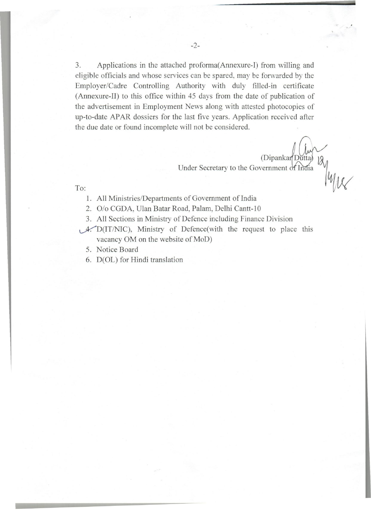3. Applications in the attached proforma(Annexure-I) from willing and eligible officials and whose services can be spared, may be forwarded by the Employer/Cadre Controlling Authority with duly filled-in certificate (Annexure-Il) to this office within 45 days from the date of publication of the advertisement in Employment News along with attested photocopies of up-to-date APAR dossiers for the last five years. Application received after the due date or found incomplete will not be considered.

> (Dipankar Dutta) Under Secretary to the Government of India

To:

- 1. All Ministries/Departments of Government of India
- 2. O/o CGDA, Ulan Batar Road, Palam, Delhi Cantt-10
- 3. All Sections in Ministry of Defence including Finance Division
- $\mathcal{A}$ . D(IT/NIC), Ministry of Defence(with the request to place this vacancy OM on the website of MoD)
	- 5. Notice Board
	- 6. D(OL) for Hindi translation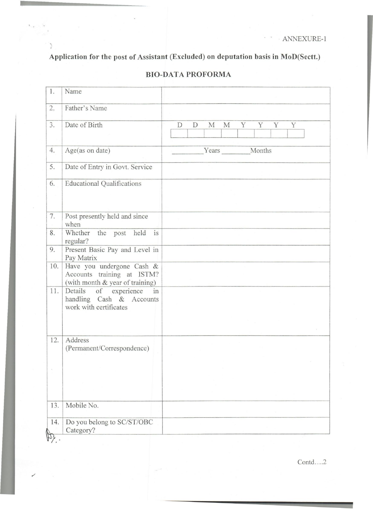$\omega$  $\lambda$ 

**Application for the post of Assistant (Excluded) on deputation basis in MoD(Sectt.)** 

 $\overline{\epsilon}$ 

 $\mathcal{O}$ 

| 1.  | Name                                                          |                                      |
|-----|---------------------------------------------------------------|--------------------------------------|
| 2.  | Father's Name                                                 |                                      |
|     |                                                               |                                      |
| 3.  | Date of Birth                                                 | Y<br>Y<br>D<br>D<br>M<br>M<br>Y<br>Y |
|     |                                                               |                                      |
| 4.  | Age(as on date)                                               | Years<br>Months                      |
| 5.  | Date of Entry in Govt. Service                                |                                      |
| 6.  | <b>Educational Qualifications</b>                             |                                      |
|     |                                                               |                                      |
|     |                                                               |                                      |
| 7.  | Post presently held and since<br>when                         |                                      |
| 8.  | Whether the post<br>held<br>is                                |                                      |
|     | regular?                                                      |                                      |
| 9.  | Present Basic Pay and Level in<br>Pay Matrix                  |                                      |
| 10. | Have you undergone Cash &                                     |                                      |
|     | Accounts training at ISTM?<br>(with month & year of training) |                                      |
| 11. | of experience<br>Details<br>in                                |                                      |
|     | handling Cash & Accounts                                      |                                      |
|     | work with certificates                                        |                                      |
|     |                                                               |                                      |
| 12. | Address                                                       |                                      |
|     | (Permanent/Correspondence)                                    |                                      |
|     |                                                               |                                      |
|     |                                                               |                                      |
|     |                                                               |                                      |
|     |                                                               |                                      |
| 13. | Mobile No.                                                    |                                      |
| 14. | Do you belong to SC/ST/OBC                                    |                                      |
|     | Category?                                                     |                                      |
|     |                                                               |                                      |

# **BIO-DATA PROFORMA**

 $Contd$ ....2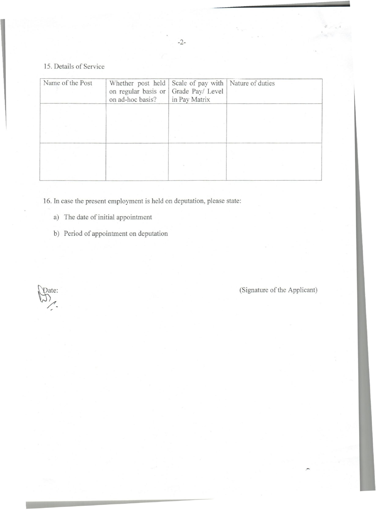# 15. Details of Service

| Name of the Post | Whether post held<br>on regular basis or<br>on ad-hoc basis? | Scale of pay with   Nature of duties<br>Grade Pay/ Level<br>in Pay Matrix |  |
|------------------|--------------------------------------------------------------|---------------------------------------------------------------------------|--|
|                  |                                                              |                                                                           |  |
|                  |                                                              |                                                                           |  |

16. In case the present employment is held on deputation, please state:

- a) The date of initial appointment
- b) Period of appointment on deputation

Pate: /.

(Signature of the Applicant)